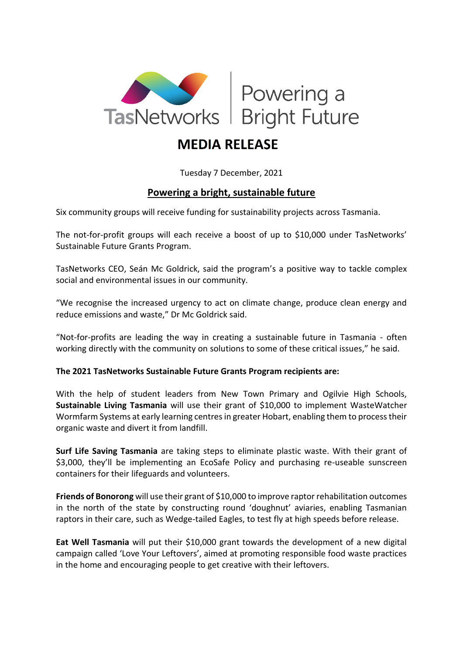

## **MEDIA RELEASE**

## Tuesday 7 December, 2021

## **Powering a bright, sustainable future**

Six community groups will receive funding for sustainability projects across Tasmania.

The not-for-profit groups will each receive a boost of up to \$10,000 under TasNetworks' Sustainable Future Grants Program.

TasNetworks CEO, Seán Mc Goldrick, said the program's a positive way to tackle complex social and environmental issues in our community.

"We recognise the increased urgency to act on climate change, produce clean energy and reduce emissions and waste," Dr Mc Goldrick said.

"Not-for-profits are leading the way in creating a sustainable future in Tasmania - often working directly with the community on solutions to some of these critical issues," he said.

## **The 2021 TasNetworks Sustainable Future Grants Program recipients are:**

With the help of student leaders from New Town Primary and Ogilvie High Schools, **Sustainable Living Tasmania** will use their grant of \$10,000 to implement WasteWatcher Wormfarm Systems at early learning centres in greater Hobart, enabling them to process their organic waste and divert it from landfill.

**Surf Life Saving Tasmania** are taking steps to eliminate plastic waste. With their grant of \$3,000, they'll be implementing an EcoSafe Policy and purchasing re-useable sunscreen containers for their lifeguards and volunteers.

**Friends of Bonorong** will use their grant of \$10,000 to improve raptor rehabilitation outcomes in the north of the state by constructing round 'doughnut' aviaries, enabling Tasmanian raptors in their care, such as Wedge-tailed Eagles, to test fly at high speeds before release.

**Eat Well Tasmania** will put their \$10,000 grant towards the development of a new digital campaign called 'Love Your Leftovers', aimed at promoting responsible food waste practices in the home and encouraging people to get creative with their leftovers.